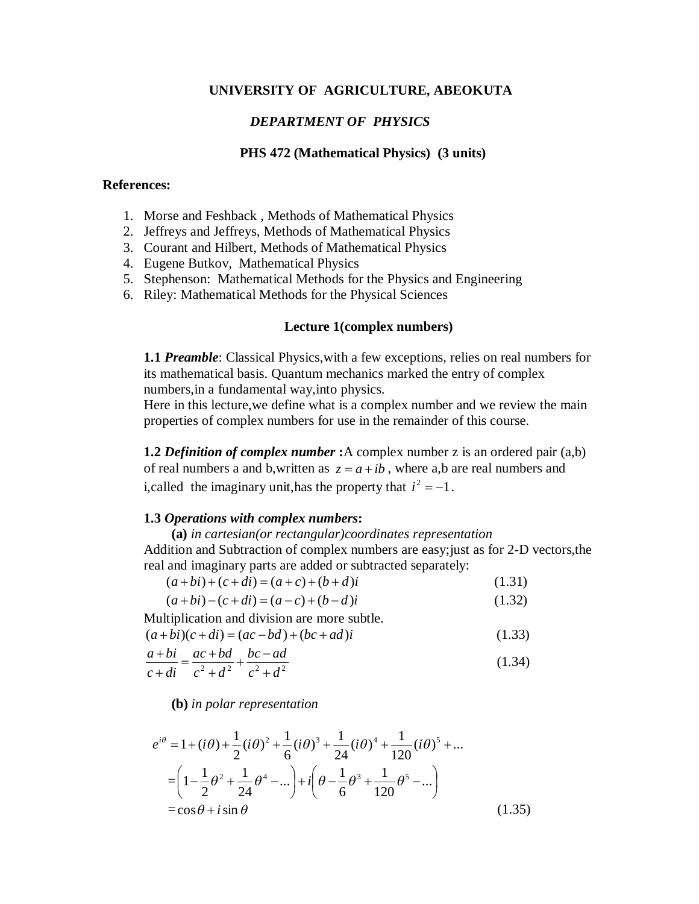#### **UNIVERSITY OF AGRICULTURE, ABEOKUTA**

#### *DEPARTMENT OF PHYSICS*

#### **PHS 472 (Mathematical Physics) (3 units)**

#### **References:**

- 1. Morse and Feshback , Methods of Mathematical Physics
- 2. Jeffreys and Jeffreys, Methods of Mathematical Physics
- 3. Courant and Hilbert, Methods of Mathematical Physics
- 4. Eugene Butkov, Mathematical Physics
- 5. Stephenson: Mathematical Methods for the Physics and Engineering
- 6. Riley: Mathematical Methods for the Physical Sciences

#### **Lecture 1(complex numbers)**

**1.1** *Preamble*: Classical Physics,with a few exceptions, relies on real numbers for its mathematical basis. Quantum mechanics marked the entry of complex numbers,in a fundamental way,into physics.

Here in this lecture,we define what is a complex number and we review the main properties of complex numbers for use in the remainder of this course.

**1.2** *Definition of complex number* **:**A complex number z is an ordered pair (a,b) of real numbers a and b,written as  $z = a + ib$ , where a,b are real numbers and i, called the imaginary unit, has the property that  $i^2 = -1$ .

#### **1.3** *Operations with complex numbers***:**

 **(a)** *in cartesian(or rectangular)coordinates representation* Addition and Subtraction of complex numbers are easy;just as for 2-D vectors,the real and imaginary parts are added or subtracted separately:

 $(a+bi)+(c+di)=(a+c)+(b+d)i$  (1.31)

$$
(a+bi)-(c+di)=(a-c)+(b-d)i
$$
\n(1.32)

Multiplication and division are more subtle.

$$
(a+bi)(c+di) = (ac-bd) + (bc+ad)i
$$
\n(1.33)

$$
\frac{a+bi}{c+di} = \frac{ac+bd}{c^2+d^2} + \frac{bc-ad}{c^2+d^2}
$$
 (1.34)

 **(b)** *in polar representation*

$$
e^{i\theta} = 1 + (i\theta) + \frac{1}{2}(i\theta)^2 + \frac{1}{6}(i\theta)^3 + \frac{1}{24}(i\theta)^4 + \frac{1}{120}(i\theta)^5 + \dots
$$
  
=  $\left(1 - \frac{1}{2}\theta^2 + \frac{1}{24}\theta^4 - \dots\right) + i\left(\theta - \frac{1}{6}\theta^3 + \frac{1}{120}\theta^5 - \dots\right)$   
=  $\cos\theta + i\sin\theta$  (1.35)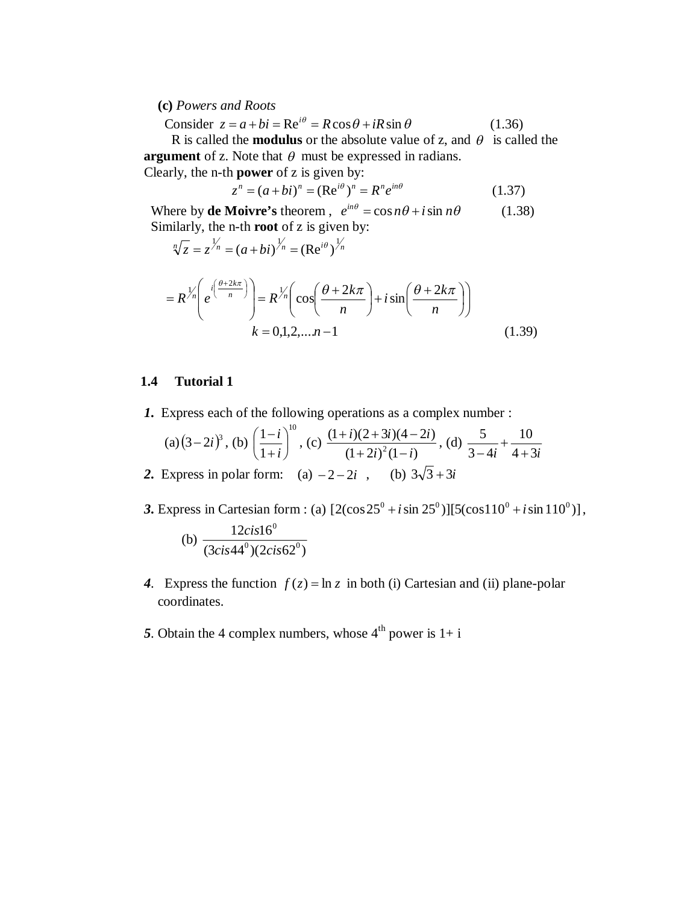#### **(c)** *Powers and Roots*

Consider  $z = a + bi = \text{Re}^{i\theta} = R\cos\theta + iR\sin\theta$  (1.36)

R is called the **modulus** or the absolute value of z, and  $\theta$  is called the **argument** of z. Note that  $\theta$  must be expressed in radians. Clearly, the n-th **power** of z is given by:

$$
z^{n} = (a + bi)^{n} = (\text{Re}^{i\theta})^{n} = R^{n} e^{in\theta}
$$
 (1.37)

Where by **de Moivre's** theorem,  $e^{in\theta} = \cos n\theta + i \sin n\theta$  (1.38) Similarly, the n-th **root** of z is given by:

$$
\sqrt[n]{z} = z^{\frac{1}{n}} = (a+bi)^{\frac{1}{n}} = (\text{Re}^{i\theta})^{\frac{1}{n}}
$$

$$
= R^{\frac{1}{n}} \left( e^{i\left(\frac{\theta+2k\pi}{n}\right)} \right) = R^{\frac{1}{n}} \left( \cos\left(\frac{\theta+2k\pi}{n}\right) + i\sin\left(\frac{\theta+2k\pi}{n}\right) \right)
$$

$$
k = 0,1,2,...n-1
$$
\n(1.39)

#### **1.4 Tutorial 1**

*1***.** Express each of the following operations as a complex number :

(a) 
$$
(3-2i)^3
$$
, (b)  $\left(\frac{1-i}{1+i}\right)^{10}$ , (c)  $\frac{(1+i)(2+3i)(4-2i)}{(1+2i)^2(1-i)}$ , (d)  $\frac{5}{3-4i} + \frac{10}{4+3i}$   
2. Express in polar form: (a)  $-2-2i$ , (b)  $3\sqrt{3}+3i$ 

- **3.** Express in Cartesian form : (a)  $[2(\cos 25^\circ + i \sin 25^\circ)][5(\cos 110^\circ + i \sin 110^\circ)],$  (b)  $(3 cis 44<sup>0</sup>)(2 cis 62<sup>0</sup>)$ 12*cis*16  $\mathcal{O}_{\mathcal{M}}$  or  $\mathcal{O}_{\mathcal{O}}$  $\mathbf{0}$ *cis cis cis*
	- 4. Express the function  $f(z) = \ln z$  in both (i) Cartesian and (ii) plane-polar coordinates.
	- 5. Obtain the 4 complex numbers, whose  $4<sup>th</sup>$  power is  $1+ i$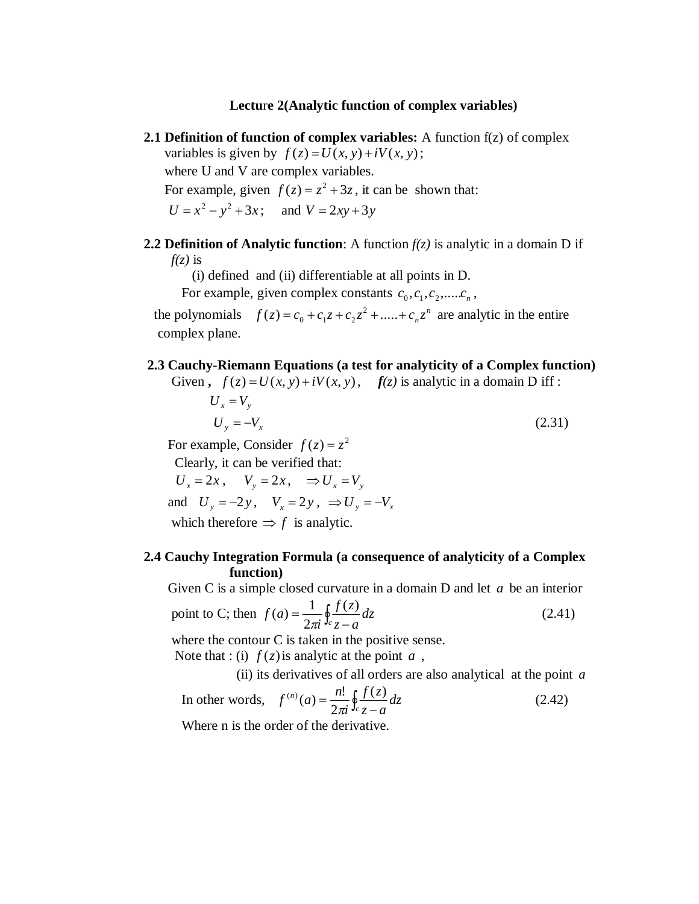#### **Lectu**r**e 2(Analytic function of complex variables)**

- **2.1 Definition of function of complex variables:** A function f(z) of complex variables is given by  $f(z) = U(x, y) + iV(x, y)$ ; where U and V are complex variables. For example, given  $f(z) = z^2 + 3z$ , it can be shown that:  $U = x^2 - y^2 + 3x$ ; and  $V = 2xy + 3y$
- **2.2 Definition of Analytic function**: A function  $f(z)$  is analytic in a domain D if  $f(z)$  is

(i) defined and (ii) differentiable at all points in D.

For example, given complex constants  $c_0, c_1, c_2, \dots, c_n$ ,

the polynomials  $f(z) = c_0 + c_1 z + c_2 z^2 + \dots + c_n z^n$  $c_0 + c_1 z + c_2 z^2 + \dots + c_n z^n$  are analytic in the entire complex plane.

#### **2.3 Cauchy-Riemann Equations (a test for analyticity of a Complex function)**

Given  $f(z) = U(x, y) + iV(x, y)$ ,  $f(z)$  is analytic in a domain D iff :

$$
U_x = V_y
$$
  
\n
$$
U_y = -V_x
$$
\n(2.31)

For example, Consider  $f(z) = z^2$ 

Clearly, it can be verified that:

 $U_x = 2x$ ,  $V_y = 2x$ ,  $\Rightarrow U_x = V_y$ 

and  $U_y = -2y$ ,  $V_x = 2y$ ,  $\Rightarrow U_y = -V_x$ 

which therefore  $\Rightarrow$  f is analytic.

## **2.4 Cauchy Integration Formula (a consequence of analyticity of a Complex function)**

Given C is a simple closed curvature in a domain D and let *a* be an interior

point to C; then 
$$
f(a) = \frac{1}{2\pi i} \oint_{c} \frac{f(z)}{z - a} dz
$$
 (2.41)

where the contour C is taken in the positive sense.

Note that : (i)  $f(z)$  is analytic at the point  $a$ ,

(ii) its derivatives of all orders are also analytical at the point *a*

In other words, 
$$
f^{(n)}(a) = \frac{n!}{2\pi i} \oint_c \frac{f(z)}{z - a} dz
$$
 (2.42)

Where n is the order of the derivative.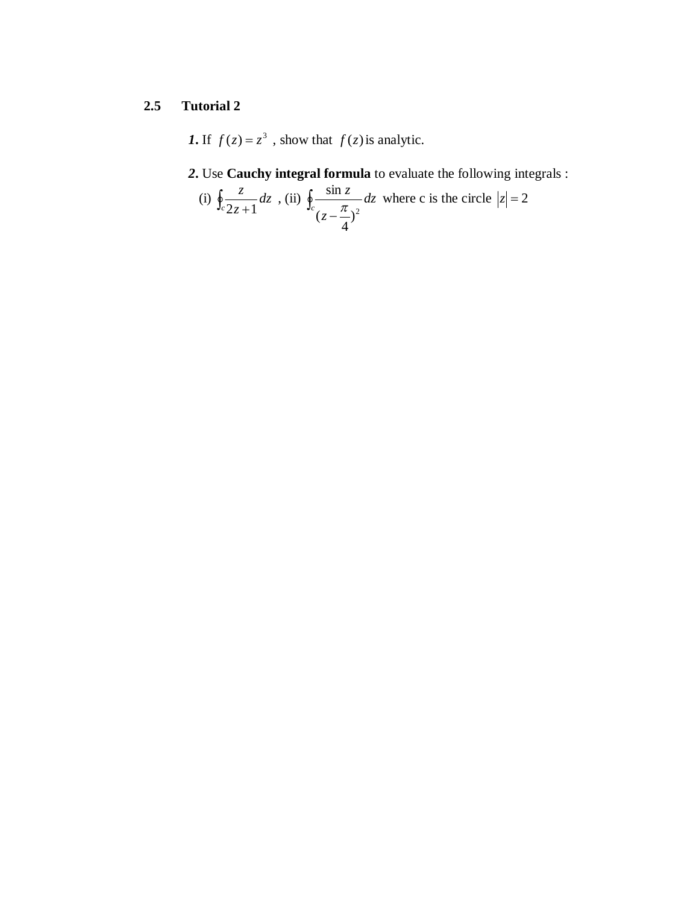# **2.5 Tutorial 2**

**1.** If  $f(z) = z^3$ , show that  $f(z)$  is analytic.

# *2***.** Use **Cauchy integral formula** to evaluate the following integrals :

(i) 
$$
\oint_{c} \frac{z}{2z+1} dz
$$
, (ii)  $\oint_{c} \frac{\sin z}{(z-\frac{\pi}{4})^2} dz$  where c is the circle  $|z|=2$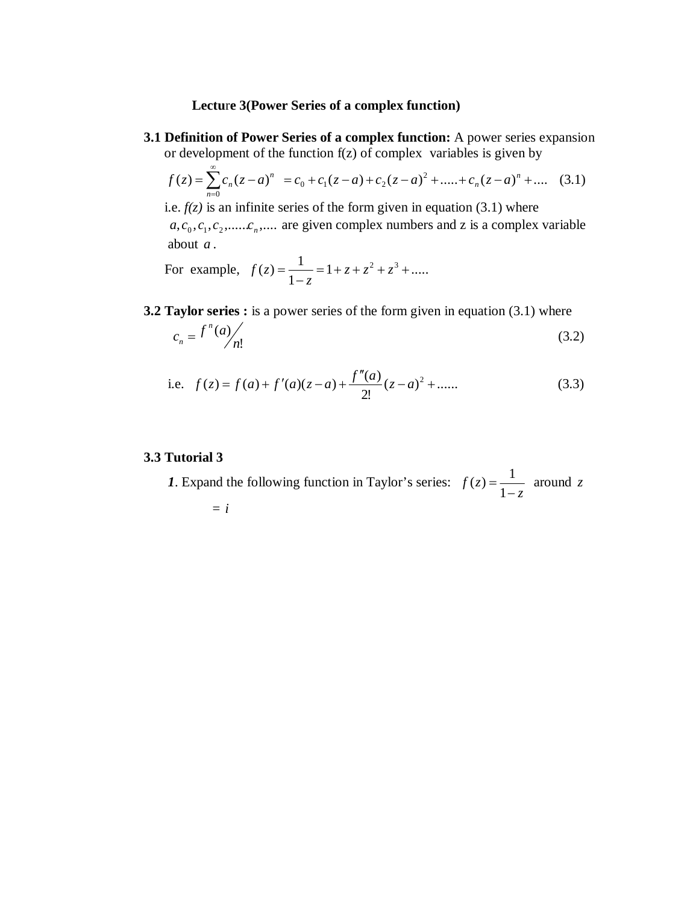#### **Lectu**r**e 3(Power Series of a complex function)**

**3.1 Definition of Power Series of a complex function:** A power series expansion or development of the function f(z) of complex variables is given by

$$
f(z) = \sum_{n=0}^{\infty} c_n (z - a)^n = c_0 + c_1 (z - a) + c_2 (z - a)^2 + \dots + c_n (z - a)^n + \dots \quad (3.1)
$$

i.e.  $f(z)$  is an infinite series of the form given in equation (3.1) where  $a, c_0, c_1, c_2, \dots, c_n, \dots$  are given complex numbers and z is a complex variable about *a* .

For example,  $f(z) = \frac{1}{z} = 1 + z + z^2 + z^3 + \dots$ 1  $(z) = \frac{1}{1} = 1 + z + z^2 + z^3 +$ <sup>-</sup>  $=\frac{1}{4}$   $=$   $1 + z + z^2 + z^2$ *z f z*

**3.2 Taylor series :** is a power series of the form given in equation (3.1) where

$$
c_n = \frac{f^n(a)}{n!} \tag{3.2}
$$

i.e. 
$$
f(z) = f(a) + f'(a)(z-a) + \frac{f''(a)}{2!}(z-a)^2 + \dots
$$
 (3.3)

#### **3.3 Tutorial 3**

*1*. Expand the following function in Taylor's series: *z f z* <sup>-</sup>  $=$ 1  $(z) = \frac{1}{z}$  around z = *i*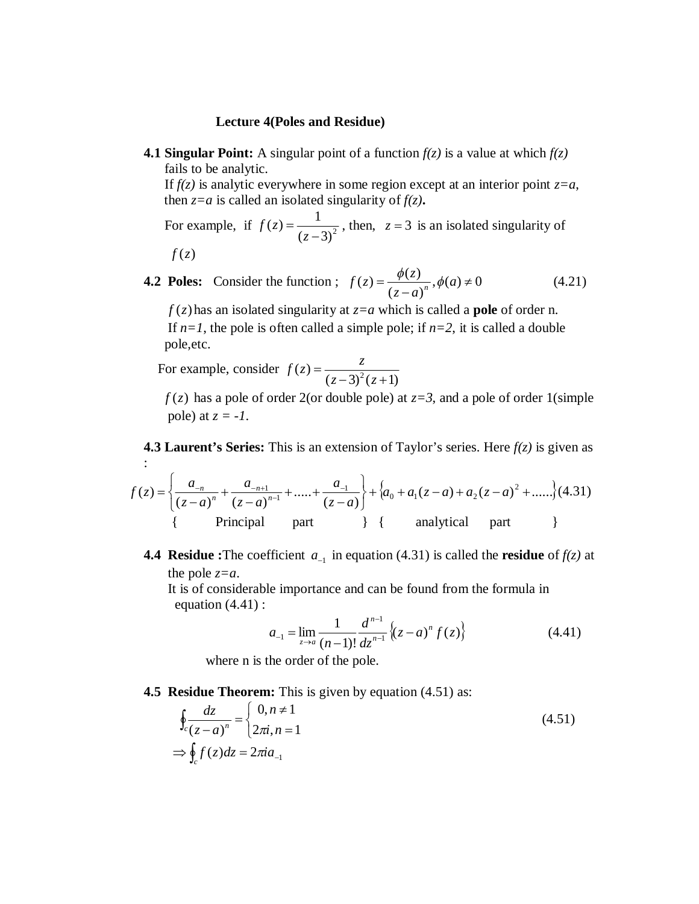#### **Lectu**r**e 4(Poles and Residue)**

**4.1 Singular Point:** A singular point of a function  $f(z)$  is a value at which  $f(z)$ fails to be analytic.

If  $f(z)$  is analytic everywhere in some region except at an interior point  $z=a$ , then  $z=a$  is called an isolated singularity of  $f(z)$ **.** 

For example, if  $f(z) = \frac{1}{(z-3)^2}$  $(z) = \frac{1}{z}$ - $=$ *z*  $f(z) = \frac{1}{(z-2)^2}$ , then,  $z = 3$  is an isolated singularity of

$$
f(z)
$$

**4.2 Poles:** Consider the function ;  $f(z) = \frac{\psi(z)}{\sqrt{z}}$ ,  $\phi(a) \neq 0$  $(z-a)$  $(z) = \frac{\phi(z)}{\phi(z)}$ ,  $\phi(a) \neq$ <sup>-</sup>  $=\frac{\varphi(x)}{a}$ ,  $\phi(a)$  $z - a$  $f(z) = \frac{\phi(z)}{(z-a)^n}, \phi(z)$ (4.21)

 $f(z)$  has an isolated singularity at  $z=a$  which is called a **pole** of order n. If  $n=1$ , the pole is often called a simple pole; if  $n=2$ , it is called a double pole,etc.

 For example, consider  $(z-3)^2(z+1)$  $(z) = \frac{z}{(z-3)^2(z+1)}$  $=$  $(z-3)^2(z)$  $f(z) = \frac{z}{z-2z^2}$ 

 $f(z)$  has a pole of order 2(or double pole) at  $z=3$ , and a pole of order 1(simple pole) at  $z = -1$ .

**4.3 Laurent's Series:** This is an extension of Taylor's series. Here *f(z)* is given as :

$$
f(z) = \left\{ \frac{a_{-n}}{(z-a)^n} + \frac{a_{-n+1}}{(z-a)^{n-1}} + \dots + \frac{a_{-1}}{(z-a)} \right\} + \left\{ a_0 + a_1(z-a) + a_2(z-a)^2 + \dots \right\} (4.31)
$$
  
{\text{Principal part}} \qquad \text{part} \qquad \text{angular part} \qquad \text{}

**4.4 Residue** :The coefficient  $a_{-1}$  in equation (4.31) is called the **residue** of  $f(z)$  at the pole *z=a*.

It is of considerable importance and can be found from the formula in equation  $(4.41)$  :

$$
a_{-1} = \lim_{z \to a} \frac{1}{(n-1)!} \frac{d^{n-1}}{dz^{n-1}} \left\{ (z-a)^n f(z) \right\} \tag{4.41}
$$

where n is the order of the pole.

**4.5 Residue Theorem:** This is given by equation (4.51) as:

$$
\oint_c \frac{dz}{(z-a)^n} = \begin{cases}\n0, n \neq 1 \\
2\pi i, n = 1\n\end{cases}
$$
\n
$$
\Rightarrow \oint_c f(z)dz = 2\pi i a_{-1}
$$
\n(4.51)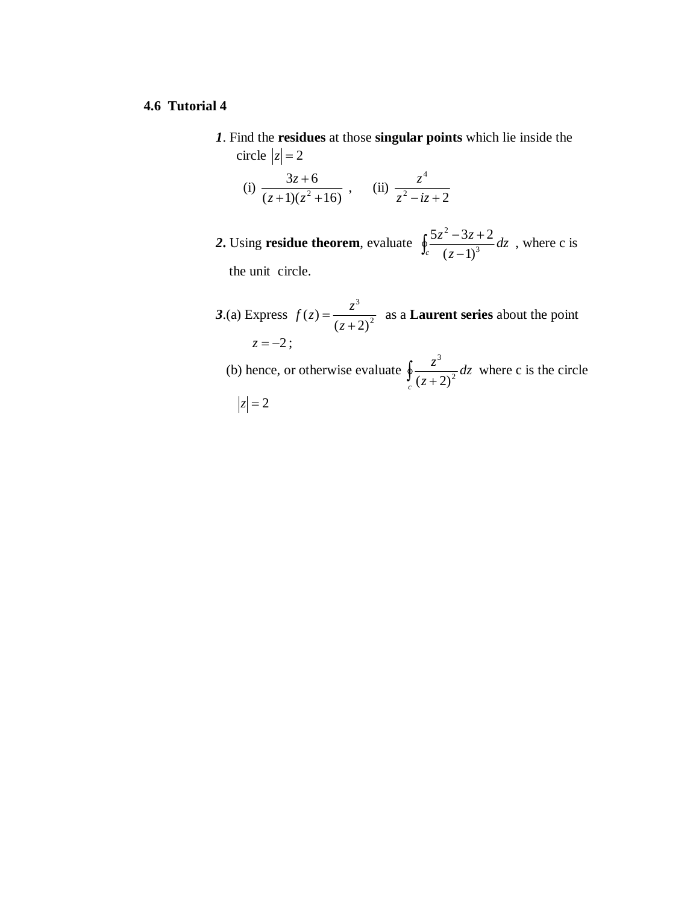#### **4.6 Tutorial 4**

 *1*. Find the **residues** at those **singular points** which lie inside the circle  $|z| = 2$ 

(i) 
$$
\frac{3z+6}{(z+1)(z^2+16)}
$$
, (ii)  $\frac{z^4}{z^2-iz+2}$ 

- **2.** Using **residue theorem**, evaluate  $\oint_{c} \frac{\partial \mathcal{L}}{(\mathcal{Z} \mathcal{L})}$  $-3z+$  $\int_{c}^{0.2z} \frac{dx}{(z-1)^3} dz$ *z*  $z^2 - 3z$ 3 2  $(z-1)$  $\frac{5z^2-3z+2}{(z^3)}dz$ , where c is the unit circle.
- **3.(a)** Express  $f(z) = \frac{z}{(z+2)^2}$ 3  $(z+2)$  $(z)$  $\ddag$  $=$ *z*  $f(z) = \frac{z^3}{z-2}$  as a **Laurent series** about the point  $z = -2$ ; (b) hence, or otherwise evaluate  $\oint_c \frac{z}{(z+1)^2}$ *dz z z* 2 3  $(z+2)$ where c is the circle

$$
|z|=2
$$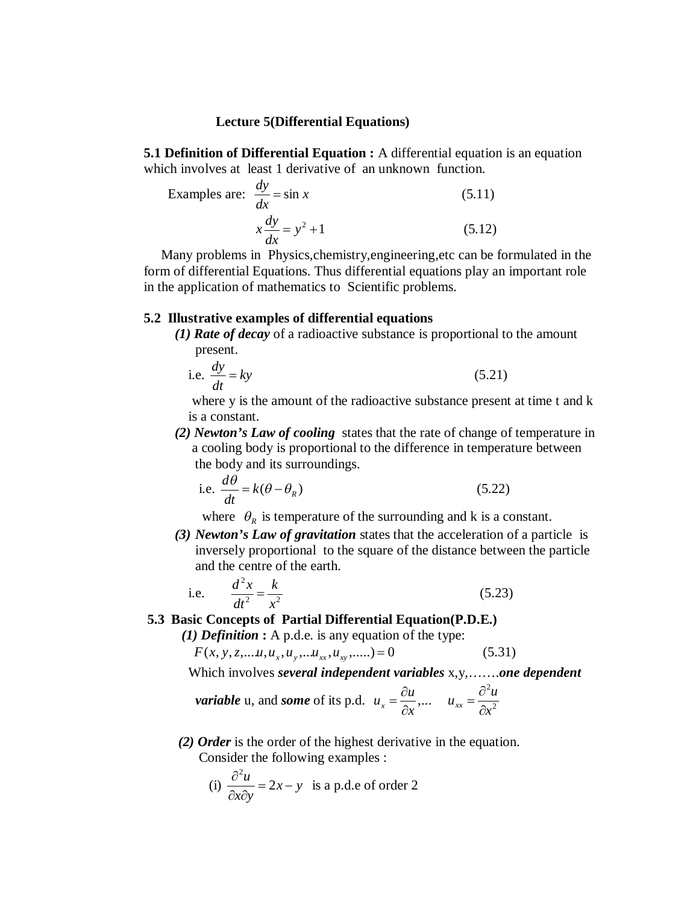#### **Lectu**r**e 5(Differential Equations)**

**5.1 Definition of Differential Equation :** A differential equation is an equation which involves at least 1 derivative of an unknown function.

Examples are: 
$$
\frac{dy}{dx} = \sin x
$$
 (5.11)  

$$
x \frac{dy}{dx} = y^2 + 1
$$
 (5.12)

 Many problems in Physics,chemistry,engineering,etc can be formulated in the form of differential Equations. Thus differential equations play an important role in the application of mathematics to Scientific problems.

#### **5.2 Illustrative examples of differential equations**

*(1) Rate of decay* of a radioactive substance is proportional to the amount present.

i.e. 
$$
\frac{dy}{dt} = ky
$$
 (5.21)

 where y is the amount of the radioactive substance present at time t and k is a constant.

 *(2) Newton's Law of cooling*states that the rate of change of temperature in a cooling body is proportional to the difference in temperature between the body and its surroundings.

i.e. 
$$
\frac{d\theta}{dt} = k(\theta - \theta_R)
$$
 (5.22)

where  $\theta_R$  is temperature of the surrounding and k is a constant.

*(3) Newton's Law of gravitation* states that the acceleration of a particle is inversely proportional to the square of the distance between the particle and the centre of the earth.

i.e. 
$$
\frac{d^2x}{dt^2} = \frac{k}{x^2}
$$
 (5.23)

**5.3 Basic Concepts of Partial Differential Equation(P.D.E.)**

*(1) Definition* **:** A p.d.e. is any equation of the type:

$$
F(x, y, z, \dots u, u_x, u_y, \dots u_{xx}, u_{xy}, \dots) = 0
$$
\n(5.31)

Which involves *several independent variables* x,y,…….*one dependent*

*variable* u, and *some* of its p.d.  $u_x = \frac{du}{2}$ ,... *x*  $u_x = \frac{\partial u}{\partial x}$  $=\frac{\partial u}{\partial x}, \dots \quad u_{xx} = \frac{\partial^2 u}{\partial x^2}$ 2 *x*  $u_{xx} = \frac{\partial^2 u}{\partial x^2}$ 

*(2) Order* is the order of the highest derivative in the equation. Consider the following examples :

(i) 
$$
\frac{\partial^2 u}{\partial x \partial y} = 2x - y
$$
 is a p.d.e of order 2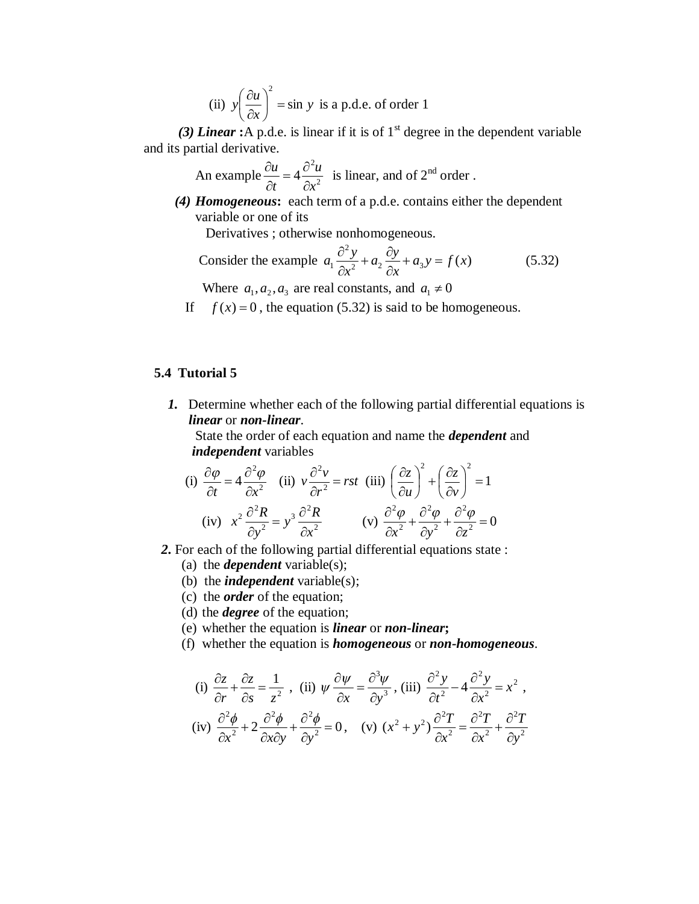(ii) 
$$
y \left( \frac{\partial u}{\partial x} \right)^2 = \sin y
$$
 is a p.d.e. of order 1

(3) *Linear* **:**A p.d.e. is linear if it is of  $1<sup>st</sup>$  degree in the dependent variable and its partial derivative.

An example  $\frac{\partial u}{\partial t} = 4 \frac{\partial u}{\partial x^2}$ 2 4 *x u t u*  $\partial$  $=4\frac{\partial}{\partial}$  $\partial$  $\frac{\partial u}{\partial x} = 4 \frac{\partial^2 u}{\partial y^2}$  is linear, and of 2<sup>nd</sup> order.

*(4) Homogeneous***:** each term of a p.d.e. contains either the dependent variable or one of its

Derivatives ; otherwise nonhomogeneous.

Consider the example 
$$
a_1 \frac{\partial^2 y}{\partial x^2} + a_2 \frac{\partial y}{\partial x} + a_3 y = f(x)
$$
 (5.32)

Where  $a_1, a_2, a_3$  are real constants, and  $a_1 \neq 0$ 

If  $f(x) = 0$ , the equation (5.32) is said to be homogeneous.

## **5.4 Tutorial 5**

*1.* Determine whether each of the following partial differential equations is *linear* or *non-linear*.

 State the order of each equation and name the *dependent* and *independent* variables

(i) 
$$
\frac{\partial \varphi}{\partial t} = 4 \frac{\partial^2 \varphi}{\partial x^2}
$$
 (ii)  $v \frac{\partial^2 v}{\partial r^2} = rst$  (iii)  $\left(\frac{\partial z}{\partial u}\right)^2 + \left(\frac{\partial z}{\partial v}\right)^2 = 1$   
(iv)  $x^2 \frac{\partial^2 R}{\partial y^2} = y^3 \frac{\partial^2 R}{\partial x^2}$  (v)  $\frac{\partial^2 \varphi}{\partial x^2} + \frac{\partial^2 \varphi}{\partial y^2} + \frac{\partial^2 \varphi}{\partial z^2} = 0$ 

- *2***.** For each of the following partial differential equations state :
	- (a) the *dependent* variable(s);
	- (b) the *independent* variable(s);
	- (c) the *order* of the equation;
	- (d) the *degree* of the equation;
	- (e) whether the equation is *linear* or *non-linear***;**
	- (f) whether the equation is *homogeneous* or *non-homogeneous*.

(i) 
$$
\frac{\partial z}{\partial r} + \frac{\partial z}{\partial s} = \frac{1}{z^2}
$$
, (ii)  $\psi \frac{\partial \psi}{\partial x} = \frac{\partial^3 \psi}{\partial y^3}$ , (iii)  $\frac{\partial^2 y}{\partial t^2} - 4 \frac{\partial^2 y}{\partial x^2} = x^2$ ,  
(iv)  $\frac{\partial^2 \phi}{\partial x^2} + 2 \frac{\partial^2 \phi}{\partial x \partial y} + \frac{\partial^2 \phi}{\partial y^2} = 0$ , (v)  $(x^2 + y^2) \frac{\partial^2 T}{\partial x^2} = \frac{\partial^2 T}{\partial x^2} + \frac{\partial^2 T}{\partial y^2}$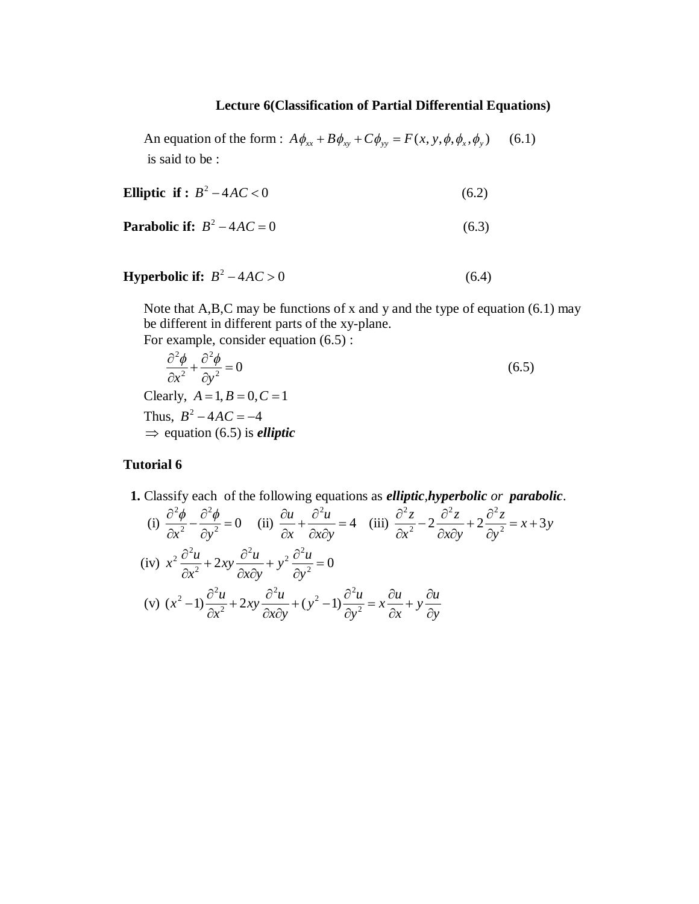# **Lectu**r**e 6(Classification of Partial Differential Equations)**

An equation of the form :  $A\phi_{xx} + B\phi_{xy} + C\phi_{yy} = F(x, y, \phi, \phi_x, \phi_y)$  (6.1) is said to be :

$$
\text{Elliptic if}: B^2 - 4AC < 0 \tag{6.2}
$$

**Parabolic if:** 
$$
B^2 - 4AC = 0
$$
 (6.3)

**Hyperbolic if:** 
$$
B^2 - 4AC > 0
$$
 (6.4)

Note that A,B,C may be functions of x and y and the type of equation (6.1) may be different in different parts of the xy-plane. For example, consider equation (6.5) :

$$
\frac{\partial^2 \phi}{\partial x^2} + \frac{\partial^2 \phi}{\partial y^2} = 0
$$
\nClearly,  $A = 1, B = 0, C = 1$   
\nThus,  $B^2 - 4AC = -4$   
\n $\Rightarrow$  equation (6.5) is *elliptic*

## **Tutorial 6**

 **1.** Classify each of the following equations as *elliptic,hyperbolic or parabolic*.

(i) 
$$
\frac{\partial^2 \phi}{\partial x^2} - \frac{\partial^2 \phi}{\partial y^2} = 0
$$
 (ii)  $\frac{\partial u}{\partial x} + \frac{\partial^2 u}{\partial x \partial y} = 4$  (iii)  $\frac{\partial^2 z}{\partial x^2} - 2 \frac{\partial^2 z}{\partial x \partial y} + 2 \frac{\partial^2 z}{\partial y^2} = x + 3y$   
\n(iv)  $x^2 \frac{\partial^2 u}{\partial x^2} + 2xy \frac{\partial^2 u}{\partial x \partial y} + y^2 \frac{\partial^2 u}{\partial y^2} = 0$   
\n(v)  $(x^2 - 1) \frac{\partial^2 u}{\partial x^2} + 2xy \frac{\partial^2 u}{\partial x \partial y} + (y^2 - 1) \frac{\partial^2 u}{\partial y^2} = x \frac{\partial u}{\partial x} + y \frac{\partial u}{\partial y}$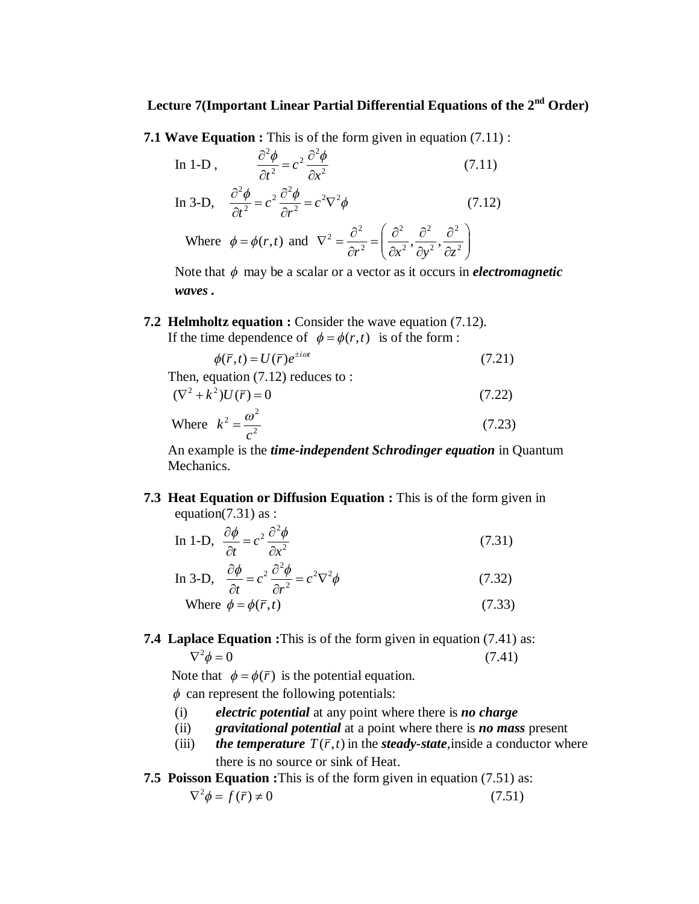# **Lectu**r**e 7(Important Linear Partial Differential Equations of the 2nd Order)**

**7.1 Wave Equation :** This is of the form given in equation (7.11) :

In 1-D, 
$$
\frac{\partial^2 \phi}{\partial t^2} = c^2 \frac{\partial^2 \phi}{\partial x^2}
$$
 (7.11)

In 3-D, 
$$
\frac{\partial^2 \phi}{\partial t^2} = c^2 \frac{\partial^2 \phi}{\partial r^2} = c^2 \nabla^2 \phi
$$
 (7.12)

Where  $\phi = \phi(r,t)$  and  $\nabla^2 = \frac{\partial}{\partial r^2} = \left(\frac{\partial}{\partial r^2}, \frac{\partial}{\partial r^2}, \frac{\partial}{\partial z^2}\right)$ J  $\setminus$  $\overline{\phantom{a}}$  $\setminus$ ſ  $\partial$  $\partial$  $\partial$  $\partial$  $\partial$  $=\left(\frac{\partial}{\partial x}\right)^2$  $\partial$  $\nabla^2 = \frac{\partial^2}{\partial r^2} = \left(\frac{\partial^2}{\partial r^2}, \frac{\partial^2}{\partial r^2}, \frac{\partial^2}{\partial r^2}\right)$ 2 2 2 2 2 2  $2=\frac{\partial^2}{\partial^2}=\left(\frac{\partial^2}{\partial^2},\frac{\partial^2}{\partial^2},\right)$  $r^2$   $(\partial x^2$   $\partial y^2$   $\partial z$ 

Note that  $\phi$  may be a scalar or a vector as it occurs in *electromagnetic waves .*

**7.2 Helmholtz equation :** Consider the wave equation (7.12).

If the time dependence of  $\phi = \phi(r,t)$  is of the form :

$$
\phi(\overline{r},t) = U(\overline{r})e^{\pm i\omega t} \tag{7.21}
$$

Then, equation (7.12) reduces to :  
\n
$$
(\nabla^2 + k^2)U(\overline{r}) = 0
$$
\n(7.22)

Where 
$$
k^2 = \frac{\omega^2}{c^2}
$$
 (7.23)

An example is the *time-independent Schrodinger equation* in Quantum Mechanics.

**7.3 Heat Equation or Diffusion Equation :** This is of the form given in equation( $7.31$ ) as :

In 1-D, 
$$
\frac{\partial \phi}{\partial t} = c^2 \frac{\partial^2 \phi}{\partial x^2}
$$
 (7.31)

In 3-D, 
$$
\frac{\partial \phi}{\partial t} = c^2 \frac{\partial^2 \phi}{\partial r^2} = c^2 \nabla^2 \phi
$$
 (7.32)

Where 
$$
\phi = \phi(\overline{r}, t)
$$
 (7.33)

# **7.4 Laplace Equation :**This is of the form given in equation (7.41) as:  $\nabla^2 \phi = 0$  (7.41)

Note that  $\phi = \phi(\bar{r})$  is the potential equation.

 $\phi$  can represent the following potentials:

- (i) *electric potential* at any point where there is *no charge*
- (ii) *gravitational potential* at a point where there is *no mass* present
- (iii) *the temperature*  $T(\bar{r}, t)$  in the *steady-state*, inside a conductor where there is no source or sink of Heat.
- **7.5 Poisson Equation :**This is of the form given in equation (7.51) as:

$$
\nabla^2 \phi = f(\bar{r}) \neq 0 \tag{7.51}
$$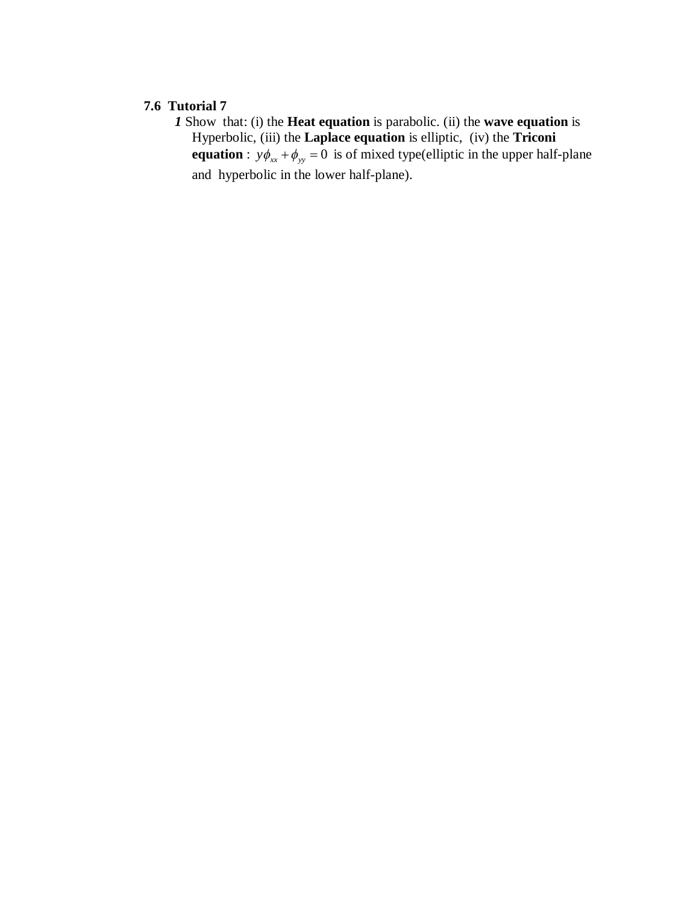#### **7.6 Tutorial 7**

*1* Show that: (i) the **Heat equation** is parabolic. (ii) the **wave equation** is Hyperbolic, (iii) the **Laplace equation** is elliptic, (iv) the **Triconi equation** :  $y\phi_{xx} + \phi_{yy} = 0$  is of mixed type(elliptic in the upper half-plane and hyperbolic in the lower half-plane).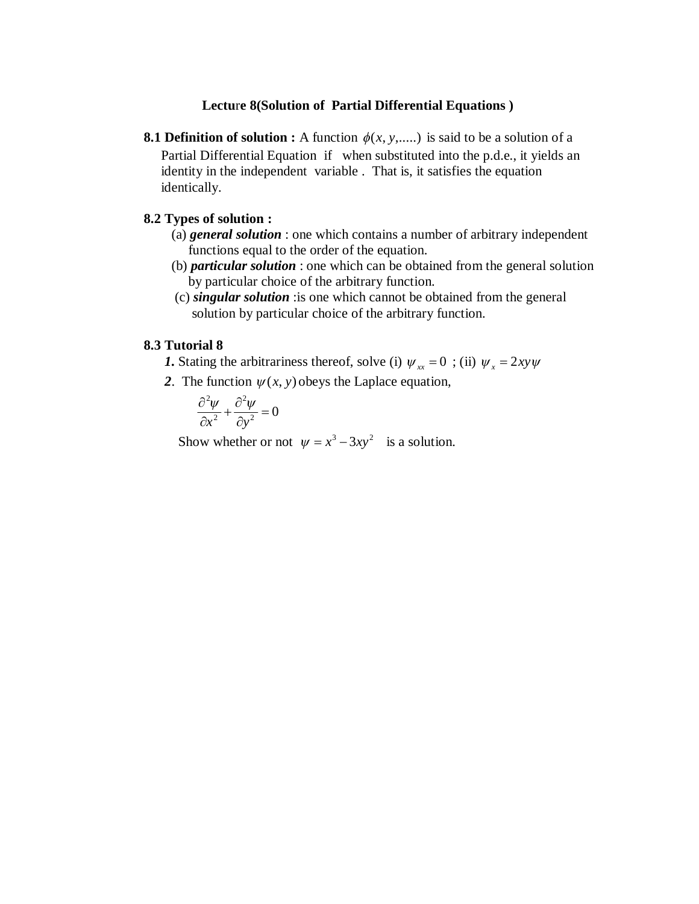#### **Lectu**r**e 8(Solution of Partial Differential Equations )**

**8.1 Definition of solution :** A function  $\phi(x, y, \ldots)$  is said to be a solution of a Partial Differential Equation if when substituted into the p.d.e., it yields an identity in the independent variable . That is, it satisfies the equation identically.

## **8.2 Types of solution :**

- (a) *general solution* : one which contains a number of arbitrary independent functions equal to the order of the equation.
- (b) *particular solution* : one which can be obtained from the general solution by particular choice of the arbitrary function.
- (c) *singular solution* :is one which cannot be obtained from the general solution by particular choice of the arbitrary function.

#### **8.3 Tutorial 8**

- *1***.** Stating the arbitrariness thereof, solve (i)  $\psi_{xx} = 0$ ; (ii)  $\psi_{x} = 2xy\psi$ 
	- 2. The function  $\psi(x, y)$  obeys the Laplace equation,

$$
\frac{\partial^2 \psi}{\partial x^2} + \frac{\partial^2 \psi}{\partial y^2} = 0
$$

Show whether or not  $\psi = x^3 - 3xy^2$  is a solution.